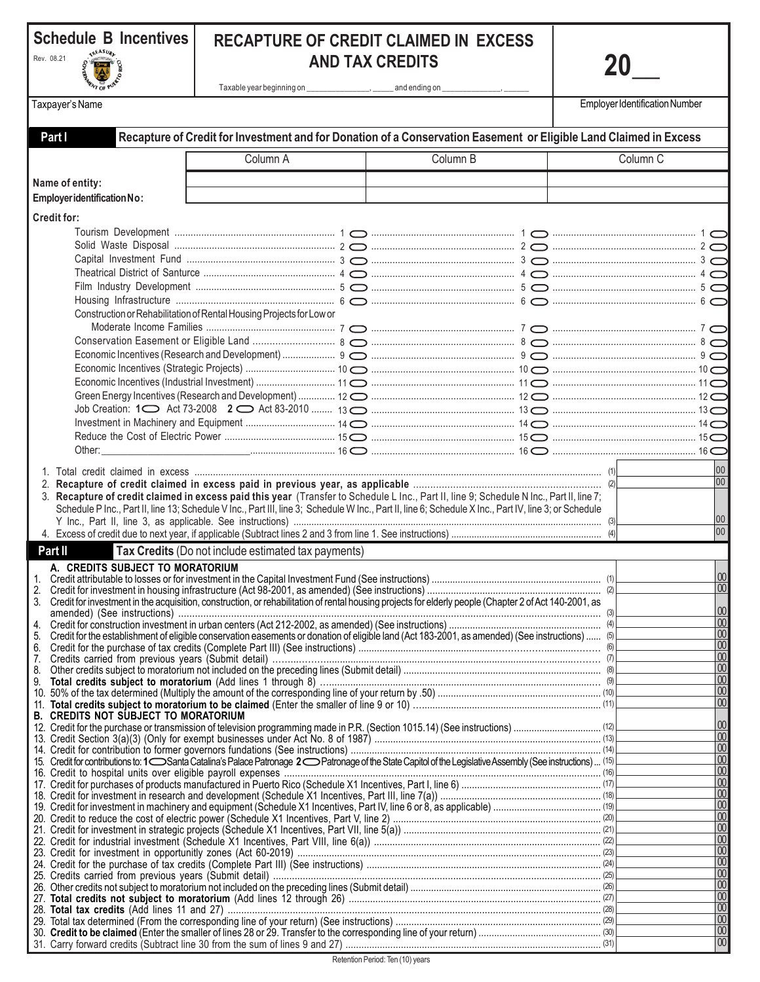| Schedule B Incentives      | <b>RECAPTURE OF CREDIT CLAIMED IN EXCESS</b> |
|----------------------------|----------------------------------------------|
| Rev. 08.21<br>$\mathbb{A}$ | <b>AND TAX CREDITS</b>                       |
|                            | Taxable year beginning on<br>and ending on   |

**20\_** 

Taxpayer's Name

Employer Identification Number

| Part I                      | Recapture of Credit for Investment and for Donation of a Conservation Easement or Eligible Land Claimed in Excess |                                                                      |  |                                                                                                                                                        |                     |                                            |  |  |  |  |
|-----------------------------|-------------------------------------------------------------------------------------------------------------------|----------------------------------------------------------------------|--|--------------------------------------------------------------------------------------------------------------------------------------------------------|---------------------|--------------------------------------------|--|--|--|--|
|                             |                                                                                                                   | Column A                                                             |  | Column B                                                                                                                                               | Column <sub>C</sub> |                                            |  |  |  |  |
| Name of entity:             |                                                                                                                   |                                                                      |  |                                                                                                                                                        |                     |                                            |  |  |  |  |
| Employer identification No: |                                                                                                                   |                                                                      |  |                                                                                                                                                        |                     |                                            |  |  |  |  |
| <b>Credit for:</b>          |                                                                                                                   |                                                                      |  |                                                                                                                                                        |                     |                                            |  |  |  |  |
|                             |                                                                                                                   |                                                                      |  |                                                                                                                                                        |                     |                                            |  |  |  |  |
|                             |                                                                                                                   |                                                                      |  |                                                                                                                                                        |                     |                                            |  |  |  |  |
|                             |                                                                                                                   |                                                                      |  |                                                                                                                                                        |                     |                                            |  |  |  |  |
|                             |                                                                                                                   |                                                                      |  |                                                                                                                                                        |                     |                                            |  |  |  |  |
|                             |                                                                                                                   |                                                                      |  |                                                                                                                                                        |                     |                                            |  |  |  |  |
|                             |                                                                                                                   | Construction or Rehabilitation of Rental Housing Projects for Low or |  |                                                                                                                                                        |                     |                                            |  |  |  |  |
|                             |                                                                                                                   |                                                                      |  |                                                                                                                                                        |                     |                                            |  |  |  |  |
|                             |                                                                                                                   |                                                                      |  |                                                                                                                                                        |                     |                                            |  |  |  |  |
|                             |                                                                                                                   |                                                                      |  |                                                                                                                                                        |                     |                                            |  |  |  |  |
|                             |                                                                                                                   |                                                                      |  |                                                                                                                                                        |                     |                                            |  |  |  |  |
|                             |                                                                                                                   |                                                                      |  |                                                                                                                                                        |                     |                                            |  |  |  |  |
|                             |                                                                                                                   |                                                                      |  |                                                                                                                                                        |                     |                                            |  |  |  |  |
|                             |                                                                                                                   |                                                                      |  |                                                                                                                                                        |                     |                                            |  |  |  |  |
|                             |                                                                                                                   |                                                                      |  |                                                                                                                                                        |                     |                                            |  |  |  |  |
| Other:                      |                                                                                                                   |                                                                      |  |                                                                                                                                                        |                     |                                            |  |  |  |  |
|                             |                                                                                                                   |                                                                      |  |                                                                                                                                                        |                     |                                            |  |  |  |  |
|                             |                                                                                                                   |                                                                      |  |                                                                                                                                                        |                     | 00<br> 00                                  |  |  |  |  |
|                             |                                                                                                                   |                                                                      |  | 3. Recapture of credit claimed in excess paid this year (Transfer to Schedule L Inc., Part II, line 9; Schedule N Inc., Part II, line 7;               |                     |                                            |  |  |  |  |
|                             |                                                                                                                   |                                                                      |  | Schedule P Inc., Part II, line 13; Schedule V Inc., Part III, line 3; Schedule W Inc., Part II, line 6; Schedule X Inc., Part IV, line 3; or Schedule  |                     |                                            |  |  |  |  |
|                             |                                                                                                                   |                                                                      |  |                                                                                                                                                        |                     | 00                                         |  |  |  |  |
|                             |                                                                                                                   |                                                                      |  |                                                                                                                                                        |                     | 00                                         |  |  |  |  |
| Part II                     |                                                                                                                   | Tax Credits (Do not include estimated tax payments)                  |  |                                                                                                                                                        |                     |                                            |  |  |  |  |
|                             | A. CREDITS SUBJECT TO MORATORIUM                                                                                  |                                                                      |  |                                                                                                                                                        |                     | 00                                         |  |  |  |  |
| 2.                          |                                                                                                                   |                                                                      |  |                                                                                                                                                        |                     | 00                                         |  |  |  |  |
| 3.                          |                                                                                                                   |                                                                      |  | Credit for investment in the acquisition, construction, or rehabilitation of rental housing projects for elderly people (Chapter 2 of Act 140-2001, as |                     |                                            |  |  |  |  |
| 4.                          |                                                                                                                   |                                                                      |  |                                                                                                                                                        |                     | $\infty$<br> 00                            |  |  |  |  |
| 5.                          |                                                                                                                   |                                                                      |  | Credit for the establishment of eligible conservation easements or donation of eligible land (Act 183-2001, as amended) (See instructions)  (5)        |                     | 00                                         |  |  |  |  |
| 6.                          |                                                                                                                   |                                                                      |  |                                                                                                                                                        |                     | 00 <br> 00                                 |  |  |  |  |
| 8.                          |                                                                                                                   |                                                                      |  |                                                                                                                                                        |                     | 00                                         |  |  |  |  |
| 9.                          |                                                                                                                   |                                                                      |  |                                                                                                                                                        |                     | $\overline{00}$                            |  |  |  |  |
|                             |                                                                                                                   |                                                                      |  |                                                                                                                                                        |                     | 00 <br> 00                                 |  |  |  |  |
|                             | <b>B. CREDITS NOT SUBJECT TO MORATORIUM</b>                                                                       |                                                                      |  |                                                                                                                                                        |                     |                                            |  |  |  |  |
|                             |                                                                                                                   |                                                                      |  |                                                                                                                                                        |                     | 00                                         |  |  |  |  |
|                             |                                                                                                                   |                                                                      |  |                                                                                                                                                        |                     | 00 <br> 00                                 |  |  |  |  |
|                             |                                                                                                                   |                                                                      |  |                                                                                                                                                        |                     | $\overline{00}$                            |  |  |  |  |
|                             |                                                                                                                   |                                                                      |  |                                                                                                                                                        |                     | $\overline{8}$                             |  |  |  |  |
|                             |                                                                                                                   |                                                                      |  |                                                                                                                                                        |                     | $\overline{00}$<br>$\overline{\mathbf{0}}$ |  |  |  |  |
|                             |                                                                                                                   |                                                                      |  |                                                                                                                                                        |                     | $\overline{00}$                            |  |  |  |  |
|                             |                                                                                                                   |                                                                      |  |                                                                                                                                                        |                     | 00                                         |  |  |  |  |
|                             |                                                                                                                   |                                                                      |  |                                                                                                                                                        |                     | $\overline{00}$<br> 00                     |  |  |  |  |
|                             |                                                                                                                   |                                                                      |  |                                                                                                                                                        |                     | 00                                         |  |  |  |  |
|                             |                                                                                                                   |                                                                      |  |                                                                                                                                                        |                     | $\overline{00}$                            |  |  |  |  |
|                             |                                                                                                                   |                                                                      |  |                                                                                                                                                        |                     | $\overline{00}$<br> 00                     |  |  |  |  |
|                             |                                                                                                                   |                                                                      |  |                                                                                                                                                        |                     | $\overline{00}$                            |  |  |  |  |
|                             |                                                                                                                   |                                                                      |  |                                                                                                                                                        |                     | $\overline{00}$                            |  |  |  |  |
|                             |                                                                                                                   |                                                                      |  |                                                                                                                                                        |                     | 00 <br> 00                                 |  |  |  |  |
|                             |                                                                                                                   |                                                                      |  |                                                                                                                                                        |                     | 00                                         |  |  |  |  |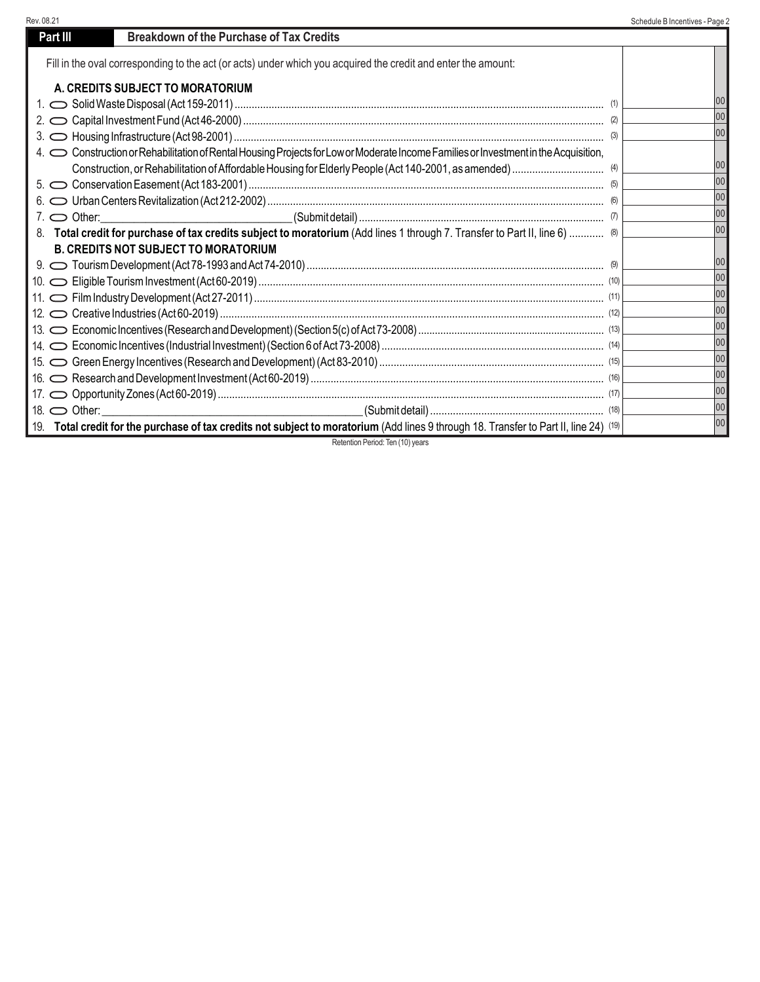| Rev. 08.21 |                                                                                                                                                                                                                                | Schedule B Incentives - Page 2 |
|------------|--------------------------------------------------------------------------------------------------------------------------------------------------------------------------------------------------------------------------------|--------------------------------|
|            | <b>Breakdown of the Purchase of Tax Credits</b><br>Part III                                                                                                                                                                    |                                |
|            | Fill in the oval corresponding to the act (or acts) under which you acquired the credit and enter the amount:                                                                                                                  |                                |
|            | A. CREDITS SUBJECT TO MORATORIUM                                                                                                                                                                                               |                                |
|            |                                                                                                                                                                                                                                | 100                            |
|            |                                                                                                                                                                                                                                | 00                             |
|            |                                                                                                                                                                                                                                | 100                            |
|            | 4. Construction or Rehabilitation of Rental Housing Projects for Low or Moderate Income Families or Investment in the Acquisition,                                                                                             |                                |
|            |                                                                                                                                                                                                                                | 00                             |
|            |                                                                                                                                                                                                                                | 00                             |
|            |                                                                                                                                                                                                                                | 00                             |
|            | 7. Other: 1. 000 0ther 2000 0ther 2000 0thers 2000 0the 2000 0the 2000 0the 2000 0the 2000 0the 2000 0the 2000 0the 2000 0the 2000 0the 2000 0the 2000 0the 2000 0the 2000 0the 2000 0the 2000 0the 2000 0the 2000 0the 2000 0 | 00                             |
|            | 8. Total credit for purchase of tax credits subject to moratorium (Add lines 1 through 7. Transfer to Part II, line 6)  (8)                                                                                                    | 00                             |
|            | <b>B. CREDITS NOT SUBJECT TO MORATORIUM</b>                                                                                                                                                                                    |                                |
|            |                                                                                                                                                                                                                                | 00                             |
|            |                                                                                                                                                                                                                                | 00                             |
|            |                                                                                                                                                                                                                                | 00                             |
|            |                                                                                                                                                                                                                                | 00                             |
|            |                                                                                                                                                                                                                                | 00                             |
|            |                                                                                                                                                                                                                                | 00                             |
|            |                                                                                                                                                                                                                                | 00                             |
|            |                                                                                                                                                                                                                                | 00                             |
|            |                                                                                                                                                                                                                                | 00                             |
|            | 18. $\bigcirc$ Other:                                                                                                                                                                                                          | 00                             |
|            | 19. Total credit for the purchase of tax credits not subject to moratorium (Add lines 9 through 18. Transfer to Part II, line 24) (19)                                                                                         | 00                             |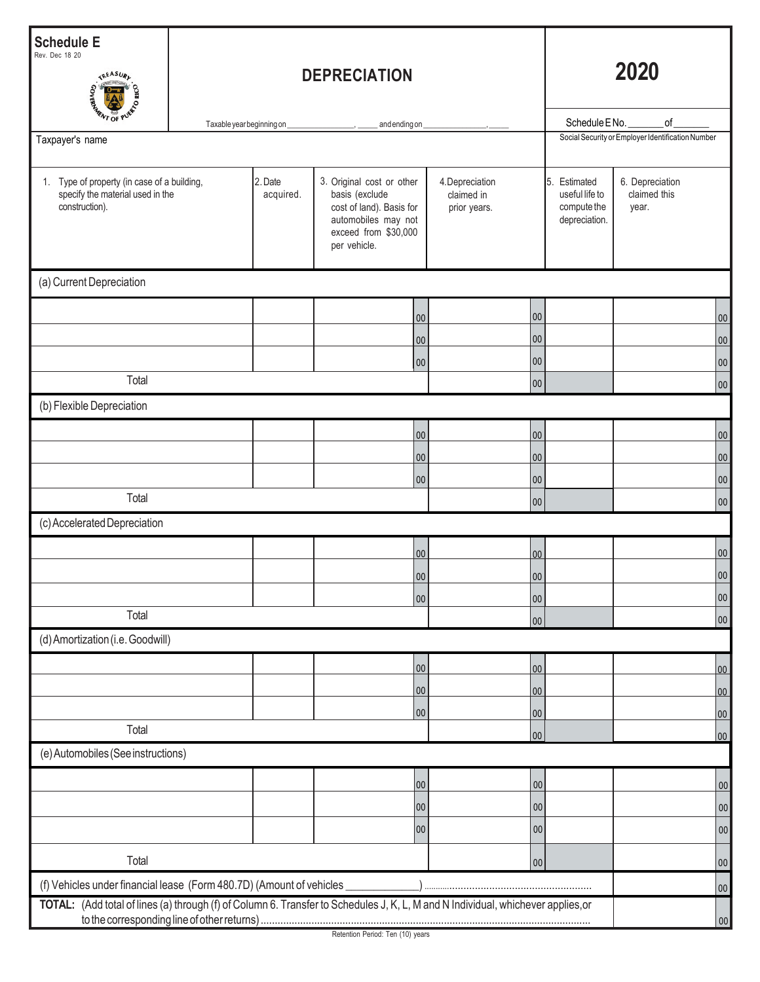| <b>Schedule E</b><br>Rev. Dec 18 20<br>TREASURE                                                   |                           | <b>DEPRECIATION</b>  | 2020                                                                                                                                   |                                               |        |                                                                |                                                   |            |
|---------------------------------------------------------------------------------------------------|---------------------------|----------------------|----------------------------------------------------------------------------------------------------------------------------------------|-----------------------------------------------|--------|----------------------------------------------------------------|---------------------------------------------------|------------|
| <b>ARNT OF</b>                                                                                    |                           |                      |                                                                                                                                        |                                               |        | Schedule ENo.                                                  | of                                                |            |
| Taxpayer's name                                                                                   | Taxable year beginning on |                      | andendingon                                                                                                                            |                                               |        |                                                                | Social Security or Employer Identification Number |            |
| 1. Type of property (in case of a building,<br>specify the material used in the<br>construction). |                           | 2. Date<br>acquired. | 3. Original cost or other<br>basis (exclude<br>cost of land). Basis for<br>automobiles may not<br>exceed from \$30,000<br>per vehicle. | 4. Depreciation<br>claimed in<br>prior years. |        | 5. Estimated<br>useful life to<br>compute the<br>depreciation. | 6. Depreciation<br>claimed this<br>year.          |            |
| (a) Current Depreciation                                                                          |                           |                      |                                                                                                                                        |                                               |        |                                                                |                                                   |            |
|                                                                                                   |                           |                      | $00\,$                                                                                                                                 |                                               | 00     |                                                                |                                                   | 00         |
|                                                                                                   |                           |                      | $00\,$                                                                                                                                 |                                               | 00     |                                                                |                                                   | 00         |
|                                                                                                   |                           |                      | $00\,$                                                                                                                                 |                                               | 00     |                                                                |                                                   | 00         |
| Total                                                                                             |                           |                      |                                                                                                                                        |                                               | 00     |                                                                |                                                   | 00         |
| (b) Flexible Depreciation                                                                         |                           |                      |                                                                                                                                        |                                               |        |                                                                |                                                   |            |
|                                                                                                   |                           |                      | ${\bf 00}$                                                                                                                             |                                               | 00     |                                                                |                                                   | 00         |
|                                                                                                   |                           |                      | $00\,$                                                                                                                                 |                                               | 00     |                                                                |                                                   | 00         |
|                                                                                                   |                           |                      | $00\,$                                                                                                                                 |                                               | 00     |                                                                |                                                   | 00         |
| Total                                                                                             |                           |                      |                                                                                                                                        |                                               | 00     |                                                                |                                                   | 00         |
| (c) Accelerated Depreciation                                                                      |                           |                      |                                                                                                                                        |                                               |        |                                                                |                                                   |            |
|                                                                                                   |                           |                      | 00                                                                                                                                     |                                               | 00     |                                                                |                                                   | 00         |
|                                                                                                   |                           |                      | 00 <sup>1</sup>                                                                                                                        |                                               | 00     |                                                                |                                                   | 00         |
|                                                                                                   |                           |                      | 00                                                                                                                                     |                                               | 00     |                                                                |                                                   | 00         |
| Total                                                                                             |                           |                      |                                                                                                                                        |                                               | 00     |                                                                |                                                   | 00         |
| (d) Amortization (i.e. Goodwill)                                                                  |                           |                      |                                                                                                                                        |                                               |        |                                                                |                                                   |            |
|                                                                                                   |                           |                      | 00                                                                                                                                     |                                               | 00     |                                                                |                                                   | 00         |
|                                                                                                   |                           |                      | 00                                                                                                                                     |                                               | 00     |                                                                |                                                   | 00         |
|                                                                                                   |                           |                      | 00                                                                                                                                     |                                               | 00     |                                                                |                                                   | 00         |
| Total                                                                                             |                           |                      |                                                                                                                                        |                                               | 00     |                                                                |                                                   | 00         |
| (e) Automobiles (See instructions)                                                                |                           |                      |                                                                                                                                        |                                               |        |                                                                |                                                   |            |
|                                                                                                   |                           |                      | 00                                                                                                                                     |                                               | $00\,$ |                                                                |                                                   | $00\,$     |
|                                                                                                   |                           |                      | 00                                                                                                                                     |                                               | 00     |                                                                |                                                   | ${\bf 00}$ |
|                                                                                                   |                           |                      | 00                                                                                                                                     |                                               | 00     |                                                                |                                                   | $00\,$     |
| Total                                                                                             |                           |                      |                                                                                                                                        |                                               | 00     |                                                                |                                                   | 00         |
|                                                                                                   |                           |                      |                                                                                                                                        |                                               |        |                                                                |                                                   |            |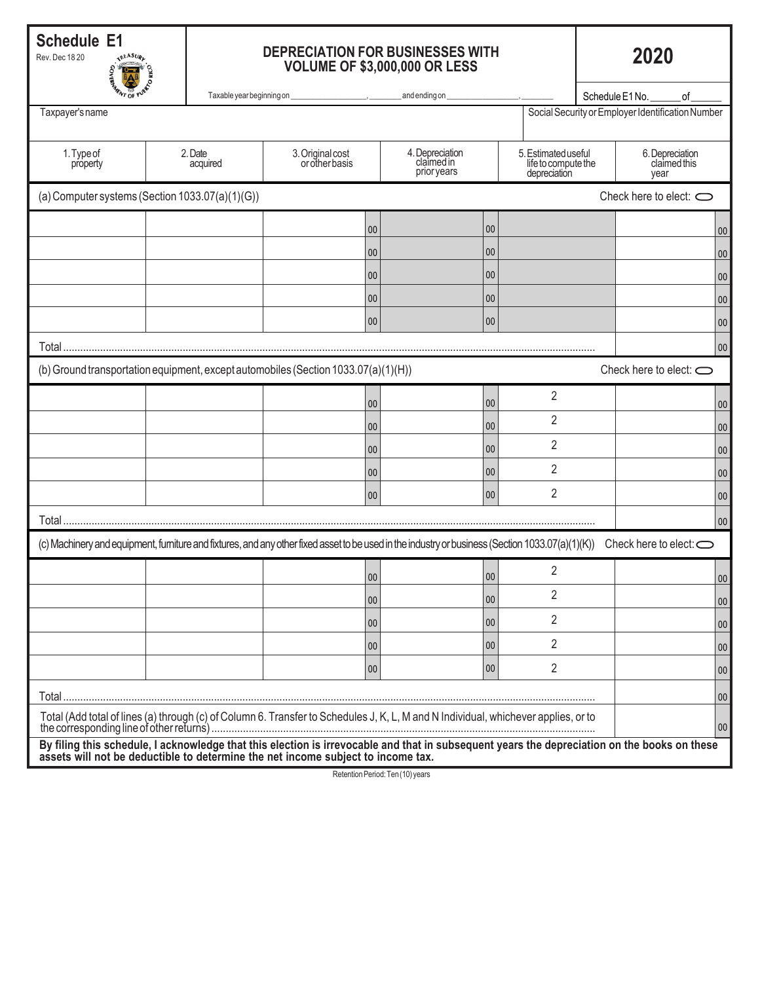**Schedule E1**

Rev. Dec 18 20

## **DEPRECIATION FOR BUSINESSES WITH VOLUME OF \$3,000,000 OR LESS**

|                                                                                                                                                                                                                                  | <b>ANTIFICIAL CALIFORNIA</b><br>Taxable year beginning on<br>and ending on<br>Schedule E1No.<br>of |                     |                                    |    |                                              |    |                                                            |  |                                                   |        |
|----------------------------------------------------------------------------------------------------------------------------------------------------------------------------------------------------------------------------------|----------------------------------------------------------------------------------------------------|---------------------|------------------------------------|----|----------------------------------------------|----|------------------------------------------------------------|--|---------------------------------------------------|--------|
| Taxpayer's name                                                                                                                                                                                                                  |                                                                                                    |                     |                                    |    |                                              |    |                                                            |  | Social Security or Employer Identification Number |        |
|                                                                                                                                                                                                                                  |                                                                                                    |                     |                                    |    |                                              |    |                                                            |  |                                                   |        |
| 1. Type of<br>property                                                                                                                                                                                                           |                                                                                                    | 2. Date<br>acquired | 3. Original cost<br>or other basis |    | 4. Depreciation<br>claimed in<br>prior years |    | 5. Estimated useful<br>life to compute the<br>depreciation |  | 6. Depreciation<br>claimed this<br>year           |        |
| (a) Computer systems (Section 1033.07(a)(1)(G))                                                                                                                                                                                  |                                                                                                    |                     |                                    |    |                                              |    |                                                            |  | Check here to elect: $\bigcirc$                   |        |
|                                                                                                                                                                                                                                  |                                                                                                    |                     |                                    | 00 |                                              | 00 |                                                            |  |                                                   | $00\,$ |
|                                                                                                                                                                                                                                  |                                                                                                    |                     |                                    | 00 |                                              | 00 |                                                            |  |                                                   | 00     |
|                                                                                                                                                                                                                                  |                                                                                                    |                     |                                    | 00 |                                              | 00 |                                                            |  |                                                   | $00\,$ |
|                                                                                                                                                                                                                                  |                                                                                                    |                     |                                    | 00 |                                              | 00 |                                                            |  |                                                   | $00\,$ |
|                                                                                                                                                                                                                                  |                                                                                                    |                     |                                    | 00 |                                              | 00 |                                                            |  |                                                   | $00\,$ |
| Total                                                                                                                                                                                                                            |                                                                                                    |                     |                                    |    |                                              |    |                                                            |  |                                                   | 00     |
| (b) Ground transportation equipment, except automobiles (Section 1033.07(a)(1)(H))                                                                                                                                               |                                                                                                    |                     |                                    |    |                                              |    |                                                            |  | Check here to elect: $\bigcirc$                   |        |
|                                                                                                                                                                                                                                  |                                                                                                    |                     |                                    | 00 |                                              | 00 | $\overline{2}$                                             |  |                                                   | $00\,$ |
|                                                                                                                                                                                                                                  |                                                                                                    |                     |                                    | 00 |                                              | 00 | $\overline{2}$                                             |  |                                                   | $00\,$ |
|                                                                                                                                                                                                                                  |                                                                                                    |                     |                                    | 00 |                                              | 00 | $\overline{2}$                                             |  |                                                   | 00     |
|                                                                                                                                                                                                                                  |                                                                                                    |                     |                                    | 00 |                                              | 00 | 2                                                          |  |                                                   | $00\,$ |
|                                                                                                                                                                                                                                  |                                                                                                    |                     |                                    | 00 |                                              | 00 | 2                                                          |  |                                                   | 00     |
| Total                                                                                                                                                                                                                            |                                                                                                    |                     |                                    |    |                                              |    |                                                            |  |                                                   | 00     |
| (c) Machinery and equipment, furniture and fixtures, and any other fixed asset to be used in the industry or business (Section 1033.07(a)(1)(K))                                                                                 |                                                                                                    |                     |                                    |    |                                              |    |                                                            |  | Check here to elect: $\bigcirc$                   |        |
|                                                                                                                                                                                                                                  |                                                                                                    |                     |                                    | 00 |                                              | 00 | 2                                                          |  |                                                   | $00\,$ |
|                                                                                                                                                                                                                                  |                                                                                                    |                     |                                    | 00 |                                              | 00 | 2                                                          |  |                                                   | 00     |
|                                                                                                                                                                                                                                  |                                                                                                    |                     |                                    | 00 |                                              | 00 | 2                                                          |  |                                                   | 00     |
|                                                                                                                                                                                                                                  |                                                                                                    |                     |                                    | 00 |                                              | 00 | $\overline{2}$                                             |  |                                                   | 00     |
|                                                                                                                                                                                                                                  |                                                                                                    |                     |                                    | 00 |                                              | 00 | $\overline{2}$                                             |  |                                                   | 00     |
| Total                                                                                                                                                                                                                            |                                                                                                    |                     |                                    |    |                                              |    |                                                            |  |                                                   | 00     |
| Total (Add total of lines (a) through (c) of Column 6. Transfer to Schedules J, K, L, M and N Individual, whichever applies, or to                                                                                               |                                                                                                    |                     |                                    |    |                                              |    |                                                            |  |                                                   | 00     |
| By filing this schedule, I acknowledge that this election is irrevocable and that in subsequent years the depreciation on the books on these<br>assets will not be deductible to determine the net income subject to income tax. |                                                                                                    |                     |                                    |    |                                              |    |                                                            |  |                                                   |        |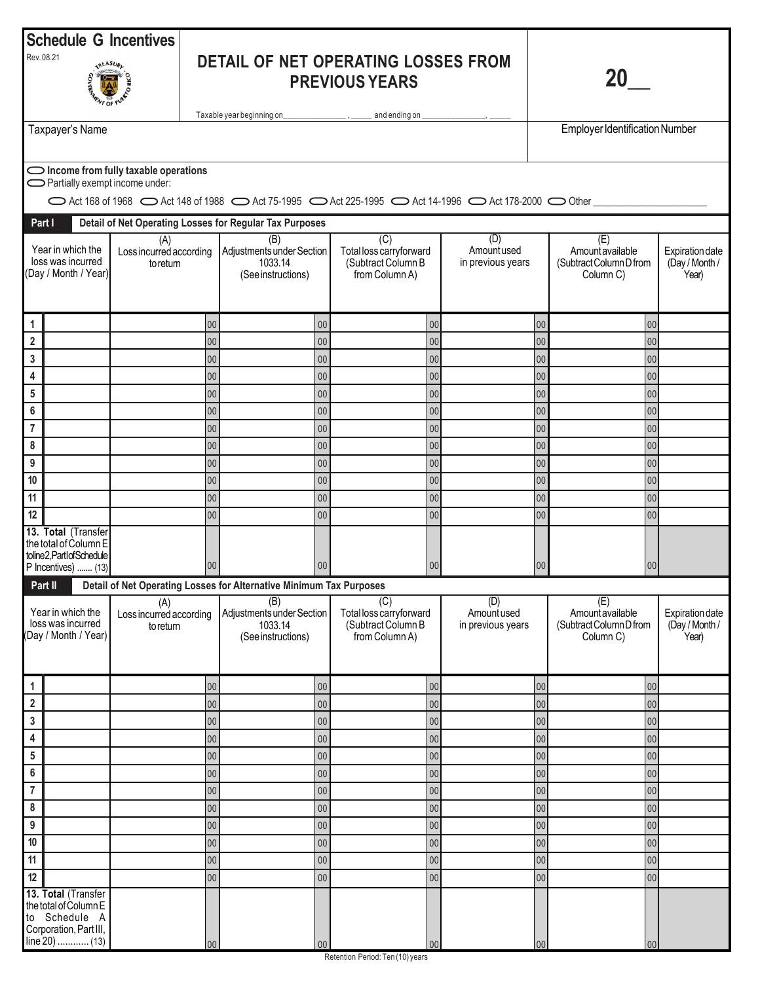|                                         |                                                                                                           | <b>Schedule G Incentives</b>                                                                                     |          |                                                                                     |                                                                                                         |                                         |                                                                |                                                                |                                            |
|-----------------------------------------|-----------------------------------------------------------------------------------------------------------|------------------------------------------------------------------------------------------------------------------|----------|-------------------------------------------------------------------------------------|---------------------------------------------------------------------------------------------------------|-----------------------------------------|----------------------------------------------------------------|----------------------------------------------------------------|--------------------------------------------|
| Rev. 08.21                              | <b>TREASURL</b>                                                                                           |                                                                                                                  |          | DETAIL OF NET OPERATING LOSSES FROM<br><b>PREVIOUS YEARS</b>                        |                                                                                                         |                                         |                                                                |                                                                |                                            |
|                                         | Taxpayer's Name                                                                                           |                                                                                                                  |          | Taxable year beginning on___________________, ______ and ending on _                |                                                                                                         |                                         |                                                                | <b>Employer Identification Number</b>                          |                                            |
|                                         |                                                                                                           |                                                                                                                  |          |                                                                                     |                                                                                                         |                                         |                                                                |                                                                |                                            |
|                                         | Partially exempt income under:                                                                            | $\bigcirc$ Income from fully taxable operations                                                                  |          |                                                                                     |                                                                                                         |                                         |                                                                |                                                                |                                            |
|                                         |                                                                                                           |                                                                                                                  |          |                                                                                     | ○ Act 168 of 1968 ○ Act 148 of 1988 ○ Act 75-1995 ○ Act 225-1995 ○ Act 14-1996 ○ Act 178-2000 ○ Other ॒ |                                         |                                                                |                                                                |                                            |
| Part I                                  |                                                                                                           |                                                                                                                  |          | Detail of Net Operating Losses for Regular Tax Purposes                             |                                                                                                         |                                         |                                                                |                                                                |                                            |
|                                         | Year in which the<br>loss was incurred<br>(Day / Month / Year)                                            | (A)<br>Loss incurred according<br>to return                                                                      |          | (B)<br>Adjustments under Section<br>1033.14<br>(See instructions)                   | $\overline{(C)}$<br>Total loss carryforward<br>(Subtract Column B<br>from Column A)                     | (D)<br>Amount used<br>in previous years |                                                                | (E)<br>Amountavailable<br>(Subtract Column D from<br>Column C) | Expiration date<br>(Day / Month /<br>Year) |
| 1                                       |                                                                                                           |                                                                                                                  | 00       | 00                                                                                  | $00\,$                                                                                                  |                                         | 00                                                             | 00                                                             |                                            |
| $\overline{\mathbf{2}}$                 |                                                                                                           |                                                                                                                  | 00       | 00                                                                                  | $00\,$                                                                                                  |                                         | 00                                                             | 00                                                             |                                            |
| $\mathsf 3$                             |                                                                                                           |                                                                                                                  | 00       | 00                                                                                  | 00                                                                                                      |                                         | 00                                                             | 00                                                             |                                            |
| $\pmb{4}$                               |                                                                                                           |                                                                                                                  | 00       | 00                                                                                  | $00\,$                                                                                                  |                                         | 00                                                             | 00                                                             |                                            |
| $5\phantom{.0}$<br>$\bf 6$              |                                                                                                           |                                                                                                                  | 00<br>00 | 00<br>00                                                                            | $00\,$<br>$00\,$                                                                                        |                                         | 00<br>00                                                       | 00<br>00                                                       |                                            |
| $\overline{7}$                          |                                                                                                           |                                                                                                                  | 00       | 00                                                                                  | $00\,$                                                                                                  |                                         | 00                                                             | 00                                                             |                                            |
| 8                                       |                                                                                                           |                                                                                                                  | 00       | 00                                                                                  | $00\,$                                                                                                  |                                         | 00                                                             | 00                                                             |                                            |
| $\boldsymbol{9}$                        |                                                                                                           |                                                                                                                  | 00       | 00                                                                                  | $00\,$                                                                                                  |                                         | 00                                                             | 00                                                             |                                            |
| 10                                      |                                                                                                           |                                                                                                                  | 00       | $00\,$                                                                              | $00\,$                                                                                                  |                                         | 00                                                             | 00                                                             |                                            |
| 11<br>12                                |                                                                                                           |                                                                                                                  | 00<br>00 | 00<br>00                                                                            | $00\,$<br>$00\,$                                                                                        |                                         | 00<br>00                                                       | 00<br>00                                                       |                                            |
|                                         | 13. Total (Transfer<br>the total of Column E<br>toline2, PartIofSchedule<br>P Incentives)  (13)           |                                                                                                                  | 00       | 00                                                                                  | $00\,$                                                                                                  |                                         | 00                                                             | 00                                                             |                                            |
| Part II                                 |                                                                                                           |                                                                                                                  |          | Detail of Net Operating Losses for Alternative Minimum Tax Purposes                 |                                                                                                         |                                         |                                                                |                                                                |                                            |
|                                         | Year in which the<br>loss was incurred<br>Day / Month / Year)                                             | (B)<br>(A)<br>Adjustments under Section<br>Loss incurred according<br>1033.14<br>to return<br>(See instructions) |          | $\overline{(C)}$<br>Total loss carryforward<br>(Subtract Column B<br>from Column A) | (D)<br>Amountused<br>in previous years                                                                  |                                         | (E)<br>Amountavailable<br>(Subtract Column D from<br>Column C) | Expiration date<br>(Day / Month /<br>Year)                     |                                            |
| 1                                       |                                                                                                           |                                                                                                                  | 00       | 00                                                                                  | 00                                                                                                      |                                         | 00                                                             | 00                                                             |                                            |
| $\mathbf 2$                             |                                                                                                           |                                                                                                                  | 00       | 00                                                                                  | $00\,$                                                                                                  |                                         | 00                                                             | 00                                                             |                                            |
| $\mathbf{3}$<br>$\overline{\mathbf{4}}$ |                                                                                                           |                                                                                                                  | 00       | 00                                                                                  | $00\,$                                                                                                  |                                         | 00                                                             | 00                                                             |                                            |
| $5\phantom{.0}$                         |                                                                                                           |                                                                                                                  | 00<br>00 | 00<br>$00\,$                                                                        | $00\,$<br>$00\,$                                                                                        |                                         | 00<br>00                                                       | 00<br>00                                                       |                                            |
| $\bf 6$                                 |                                                                                                           |                                                                                                                  | 00       | 00                                                                                  | $00\,$                                                                                                  |                                         | 00                                                             | 00                                                             |                                            |
| $\overline{7}$                          |                                                                                                           |                                                                                                                  | 00       | ${\bf 00}$                                                                          | $00\,$                                                                                                  |                                         | 00                                                             | 00                                                             |                                            |
| 8                                       |                                                                                                           |                                                                                                                  | 00       | 00                                                                                  | $00\,$                                                                                                  |                                         | 00                                                             | 00                                                             |                                            |
| $\boldsymbol{9}$                        |                                                                                                           |                                                                                                                  | 00       | 00                                                                                  | $00\,$                                                                                                  |                                         | 00                                                             | 00                                                             |                                            |
| 10<br>11                                |                                                                                                           |                                                                                                                  | 00<br>00 | $00\,$<br>$00\,$                                                                    | $00\,$<br>${\bf 00}$                                                                                    |                                         | 00<br>00                                                       | 00<br>00                                                       |                                            |
| 12                                      |                                                                                                           |                                                                                                                  | 00       | $00\,$                                                                              | $00\,$                                                                                                  |                                         | 00                                                             | 00                                                             |                                            |
|                                         | 13. Total (Transfer<br>the total of Column E<br>to Schedule A<br>Corporation, Part III,<br>line 20)  (13) |                                                                                                                  | 00       | 00 <sup>°</sup>                                                                     | 00                                                                                                      |                                         | 00                                                             | 00                                                             |                                            |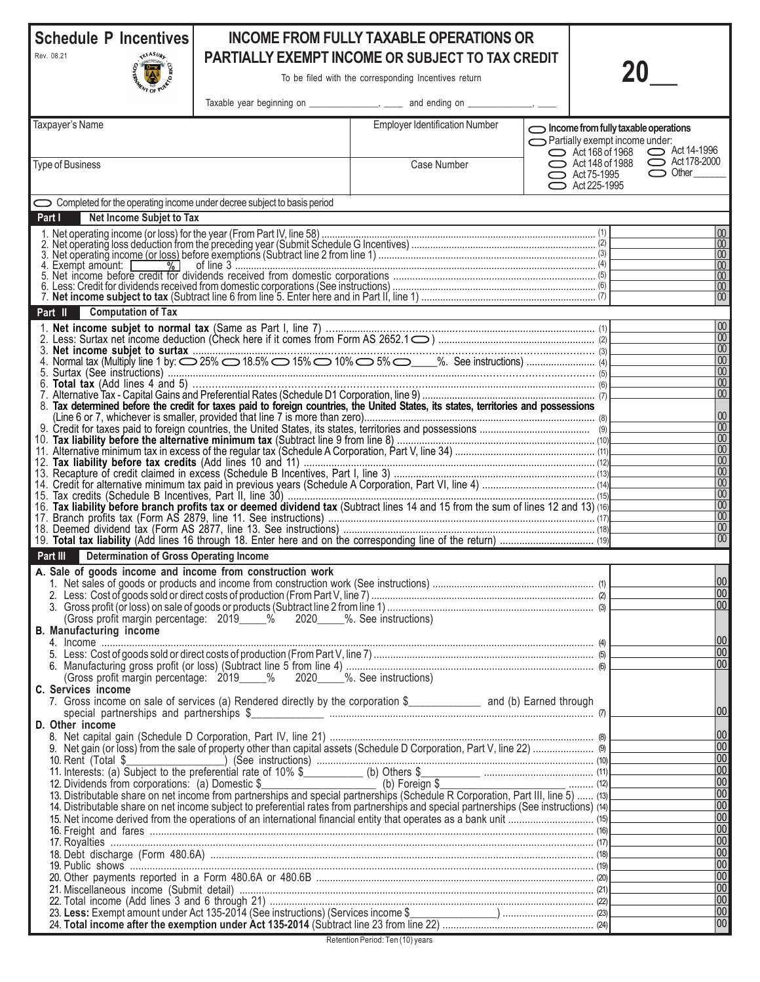## **Schedule P Incentives**

**ALLES** 

Rev. 08.21

## **INCOME FROM FULLY TAXABLE OPERATIONS OR PARTIALLY EXEMPT INCOME OR SUBJECT TO TAX CREDIT**

To be filed with the corresponding Incentives return

| $W_{\text{D}}$ of $W$                                                   |                                                                            | Taxable year beginning on ___________________, ______ and ending on ______________, ____                                                                                                                                           |                                                                        |                                             |
|-------------------------------------------------------------------------|----------------------------------------------------------------------------|------------------------------------------------------------------------------------------------------------------------------------------------------------------------------------------------------------------------------------|------------------------------------------------------------------------|---------------------------------------------|
| Taxpayer's Name                                                         |                                                                            | <b>Employer Identification Number</b>                                                                                                                                                                                              |                                                                        |                                             |
|                                                                         |                                                                            |                                                                                                                                                                                                                                    | Income from fully taxable operations<br>Partially exempt income under: |                                             |
|                                                                         |                                                                            |                                                                                                                                                                                                                                    | Act 168 of 1968                                                        | $\sim$ Act 14-1996                          |
| <b>Type of Business</b>                                                 |                                                                            | Case Number                                                                                                                                                                                                                        | $\sim$ Act 148 of 1988<br>$\bigcirc$ Act 75-1995                       | $\bigcirc$ Act 178-2000<br>$\bigcirc$ Other |
|                                                                         |                                                                            |                                                                                                                                                                                                                                    | $\bigcirc$ Act 225-1995                                                |                                             |
| Completed for the operating income under decree subject to basis period |                                                                            |                                                                                                                                                                                                                                    |                                                                        |                                             |
| Net Income Subjet to Tax<br>Part I                                      |                                                                            |                                                                                                                                                                                                                                    |                                                                        |                                             |
|                                                                         |                                                                            |                                                                                                                                                                                                                                    |                                                                        | 00                                          |
|                                                                         |                                                                            |                                                                                                                                                                                                                                    |                                                                        | 00 <br>$\boxed{00}$                         |
|                                                                         |                                                                            |                                                                                                                                                                                                                                    |                                                                        | 00 <br>$\overline{00}$                      |
|                                                                         |                                                                            |                                                                                                                                                                                                                                    |                                                                        | 00                                          |
|                                                                         |                                                                            |                                                                                                                                                                                                                                    |                                                                        | 00                                          |
| <b>Computation of Tax</b><br>Part II                                    |                                                                            |                                                                                                                                                                                                                                    |                                                                        | $\overline{00}$                             |
|                                                                         |                                                                            |                                                                                                                                                                                                                                    |                                                                        | $\overline{00}$                             |
|                                                                         |                                                                            |                                                                                                                                                                                                                                    |                                                                        | $\overline{00}$                             |
|                                                                         |                                                                            |                                                                                                                                                                                                                                    |                                                                        | $\overline{00}$<br> 00                      |
|                                                                         |                                                                            |                                                                                                                                                                                                                                    |                                                                        | $\overline{00}$                             |
|                                                                         |                                                                            | 8. Tax determined before the credit for taxes paid to foreign countries, the United States, its states, territories and possessions                                                                                                |                                                                        | $\overline{00}$                             |
|                                                                         |                                                                            |                                                                                                                                                                                                                                    |                                                                        | 00                                          |
|                                                                         |                                                                            |                                                                                                                                                                                                                                    |                                                                        | $\overline{00}$<br> 00                      |
|                                                                         |                                                                            |                                                                                                                                                                                                                                    |                                                                        | $\overline{00}$                             |
|                                                                         |                                                                            |                                                                                                                                                                                                                                    |                                                                        | 00<br> 00                                   |
|                                                                         |                                                                            |                                                                                                                                                                                                                                    |                                                                        | 00                                          |
|                                                                         |                                                                            | 16. Tax liability before branch profits tax or deemed dividend tax (Subtract lines 14 and 15 from the sum of lines 12 and 13) (16)                                                                                                 |                                                                        | 00<br> 00                                   |
|                                                                         |                                                                            |                                                                                                                                                                                                                                    |                                                                        | $\overline{00}$                             |
|                                                                         |                                                                            |                                                                                                                                                                                                                                    |                                                                        | $ 00\rangle$<br>$\overline{00}$             |
| Part III<br><b>Determination of Gross Operating Income</b>              |                                                                            |                                                                                                                                                                                                                                    |                                                                        |                                             |
| A. Sale of goods income and income from construction work               |                                                                            |                                                                                                                                                                                                                                    |                                                                        |                                             |
|                                                                         |                                                                            |                                                                                                                                                                                                                                    |                                                                        | 00                                          |
|                                                                         |                                                                            |                                                                                                                                                                                                                                    |                                                                        | 00<br>100                                   |
|                                                                         | (Gross profit margin percentage: 2019 ____% 2020 ____%. See instructions)  |                                                                                                                                                                                                                                    |                                                                        |                                             |
| <b>B. Manufacturing income</b>                                          |                                                                            |                                                                                                                                                                                                                                    |                                                                        | 00                                          |
| 4. Income                                                               |                                                                            |                                                                                                                                                                                                                                    | (4)                                                                    | 00                                          |
|                                                                         |                                                                            |                                                                                                                                                                                                                                    |                                                                        | 00                                          |
| C. Services income                                                      | (Gross profit margin percentage: 2019_____% 2020______%. See instructions) |                                                                                                                                                                                                                                    |                                                                        |                                             |
|                                                                         |                                                                            | 7. Gross income on sale of services (a) Rendered directly by the corporation \$_______________ and (b) Earned through                                                                                                              |                                                                        |                                             |
| special partnerships and partnerships \$<br>D. Other income             |                                                                            | $\sigma$ , and the contract of the contract of $\sigma$                                                                                                                                                                            |                                                                        | 00                                          |
|                                                                         |                                                                            |                                                                                                                                                                                                                                    |                                                                        | 00                                          |
|                                                                         |                                                                            |                                                                                                                                                                                                                                    |                                                                        | 00                                          |
|                                                                         |                                                                            |                                                                                                                                                                                                                                    |                                                                        | 00<br> 00                                   |
|                                                                         |                                                                            | 11. Interests: (a) Subject to the preferential rate of 10% \$ (b) Others \$ (a) Others (a) Outleads from corporations: (a) Domestic \$ (b) Others (c) Contential rate of 10% (b) Contential Contentions. (a) Domestic \$ (b) Forei |                                                                        | 00                                          |
|                                                                         |                                                                            |                                                                                                                                                                                                                                    |                                                                        | 00 <br>$ 00\rangle$                         |
|                                                                         |                                                                            | 14. Distributable share on net income subject to preferential rates from partnerships and special partnerships (See instructions) (14)                                                                                             |                                                                        | 00                                          |
|                                                                         |                                                                            |                                                                                                                                                                                                                                    |                                                                        | 00                                          |
|                                                                         |                                                                            |                                                                                                                                                                                                                                    |                                                                        | 00<br> 00                                   |
|                                                                         |                                                                            |                                                                                                                                                                                                                                    |                                                                        | 00                                          |
|                                                                         |                                                                            |                                                                                                                                                                                                                                    |                                                                        | 00 <br> 00                                  |
|                                                                         |                                                                            |                                                                                                                                                                                                                                    |                                                                        | 00                                          |
|                                                                         |                                                                            |                                                                                                                                                                                                                                    |                                                                        | 00                                          |
|                                                                         |                                                                            |                                                                                                                                                                                                                                    |                                                                        | 00                                          |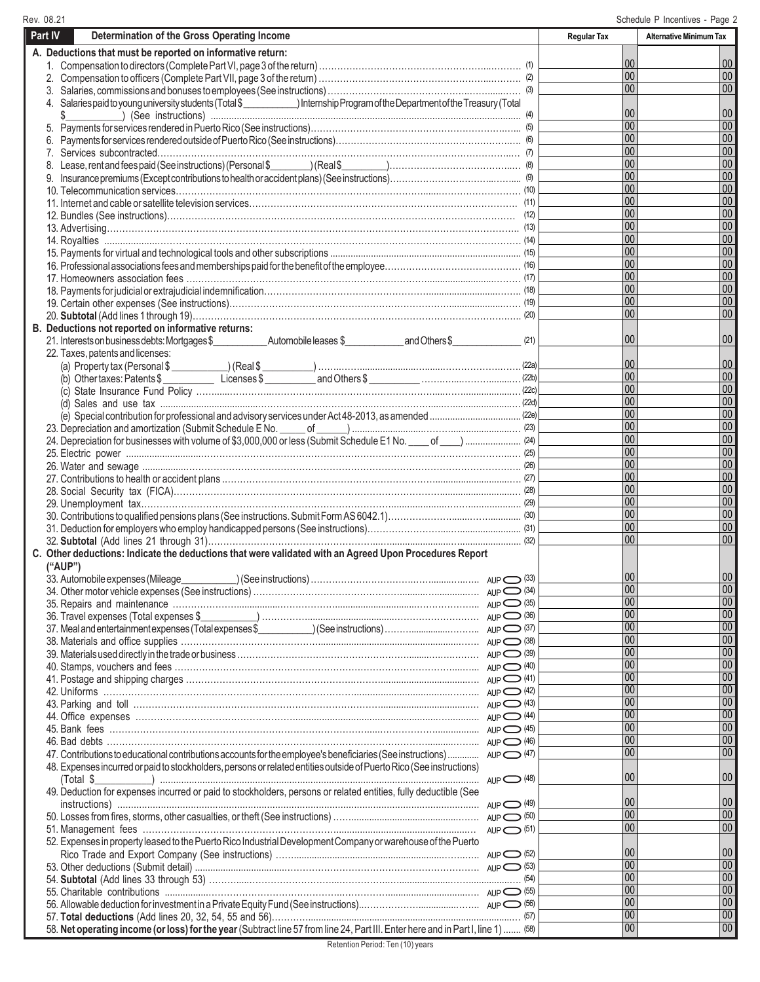00 00 00 00 00 00 00  $|00$ 00  $|00|$ 00 00 00 00 00 00 00 00 00 00 00 00  $|00$ 00 00 00  $|00$ 00 00 00 00 00 00  $|00\rangle$ 00  $|00$ 00 00 00 00 00 00 00 00 00 00  $\overline{00}$  $\overline{00}$  $\overline{00}$  $\overline{00}$  $|00$ 00 00 00 00 00 00 00 00 00  $\overline{00}$  $\overline{00}$ **Part IV Determination of the Gross Operating Income** (1) 1. Compensation to directors (Complete Part VI, page 3 of the return) ………………………………………………...………. (2) 2. Compensation to officers (Complete Part VII, page 3 of the return) ………………………………………………...………. (3) 3. Salaries, commissions and bonuses to employees (See instructions) ………………………………………..……......…… (4) \$\_\_\_\_\_\_\_\_\_\_\_) (See instructions) ....................................................................................................................... (5) 5. Payments for services rendered in Puerto Rico (See instructions)……………………………………………………….…... (6) 6. Payments for services rendered outside of Puerto Rico (See instructions)………………………………………………….…. (7) 7. Services subcontracted……………………………………………………………………………………………………..… (8) 8. Lease, rent and fees paid (See instructions) (Personal \$\_\_\_\_\_\_\_\_) (Real \$\_\_\_\_\_\_\_\_\_)…………………………………..… (9) 9. Insurance premiums (Except contributions to health or accident plans) (See instructions)……………………………..…….... (10) 10. Telecommunication services………………………………………………………………………......……………………… (11) 11. Internet and cable or satellite television services……………………………………………………………………………. (12) 12. Bundles (See instructions)…………………………………………………………………………………………………… (13) 13. Advertising…………………………………………………………………………………………………………………….. (14) 14. Royalties ....................………………………………………………………………………………………………………. (15) 15. Payments for virtual and technological tools and other subscriptions ........................................................................... (16) 16. Professional associations fees and memberships paid for the benefit of the employee……………………………………… (17) 17. Homeowners association fees ….…………………………………………………………………..........................……… (18) 18. Payments for judicial or extrajudicial indemnification………………………………………………...........................…….. (19) 19. Certain other expenses (See instructions)……………………………………………………………….....................…… (20) 20. **Subtotal** (Add lines 1 through 19)………………………………………………………………………………………….….. (21) (22a) (22b) (22c) (c) State Insurance Fund Policy ……......…………..……………..……………………………….....……...................… (22d) (d) Sales and use tax ......................................………………………………..………………......….......................… (22e) (e) Special contribution for professional and advisory services under Act 48-2013, as amended .................................... (23) 23. Depreciation and amortization (Submit Schedule E No. \_\_\_\_\_ of \_\_\_\_\_\_) ............................………........................… (24) 24. Depreciation for businesses with volume of \$3,000,000 or less (Submit Schedule E1 No. \_\_\_\_ of \_\_\_\_) ...................... (25) 25. Electric power .............................………………………………………………………………………………………...… (26) 26. Water and sewage .................…………………………………………………………………………………………….…. (27) 27. Contributions to health or accident plans .…………………………………………………………….............................…. (28) 28. Social Security tax (FICA)……………………………………………………………………………............................… (29) 29. Unemployment tax……………………………………………………………………….....................….….................... (30) 30. Contributions to qualified pensions plans (See instructions. Submit Form AS 6042.1)………………….......……............. (31) 31. Deduction for employers who employ handicapped persons (See instructions)……………………....…........................ (32) 32. **Subtotal** (Add lines 21 through 31)………………………………………………...…........................…........................ 33. Automobile expenses (Mileage\_\_\_\_\_\_\_\_\_\_\_\_) (See instructions) …………………………………………………………………………………………… 34. Other motor vehicle expenses (See instructions) ………………………………………………………………………… AuP  $\bigcirc$  (34) (35) 35. Repairs and maintenance ………………….................………………................................………………... AUP (36) 36. Travel expenses (Total expenses \$\_\_\_\_\_\_\_\_\_\_\_) ……………..................................………………….…… AUP (37) (38)  $\supset$  (39)  $\bigcirc$  (40) (41) 41. Postage and shipping charges ……………………………………………….………..................................…. AUP (42) 42. Uniforms ………………………………………………………………………....................................….…... AUP (43) 43. Parking and toll ………………………………………………………………………...................................… AUP (44) 44. Office expenses …………………………………………….......................................................…............ AUP (45) 45. Bank fees ………………………………………………………………………….....………………................. AUP (46) 46. Bad debts ……………………………………………………………………………………………..........……... AUP 47. Contributions to educational contributions accounts for the employee's beneficiaries (See instructions) ...............  $_{AUP}$   $\bigcirc$  (47) (48) (Total \$\_\_\_\_\_\_\_\_\_\_\_) ......................................................................................................................... AUP (49) instructions) ..................................................................................................................................... AUP (50) 50. Losses from fires, storms, other casualties, or theft (See instructions) ……..........................................……. AUP (51) 51. Management fees ………………………………………………………..................................................… AUP (52) Rico Trade and Export Company (See instructions) ……..........................................................……..….. AUP (53) 53. Other deductions (Submit detail) ...................................………………………………………………………. AUP (54) 54. **Subtotal** (Add lines 33 through 53) ……….....………………………...……………..…....................……................…. (55) 55. Charitable contributions .................……………………………………..……………...............................…. AUP (56) 56. Allowable deduction for investment in a Private Equity Fund (See instructions)..………………...............…….. AUP (57) 57. **Total deductions** (Add lines 20, 32, 54, 55 and 56)…………................................................................................… (58) 58. **Net operating income (or loss) for the year** (Subtract line 57 from line 24, Part III. Enter here and in Part I, line 1) ....... **Regular Tax Alternative Minimum Tax A. Deductions that must be reported on informative return:** 4. Salaries paid to young university students (Total \$ \_\_\_\_\_\_\_\_\_\_\_\_) Internship Program of the Department of the Treasury (Total **B. Deductions not reported on informative returns:** 21. Interests on business debts: Mortgages \$\_\_\_\_\_\_\_\_\_\_\_ Automobile leases \$\_\_\_\_\_\_\_\_\_\_\_\_ and Others \$\_\_\_\_\_\_\_\_\_\_\_\_\_\_ 22. Taxes, patents and licenses: (a) Property tax (Personal \$ \_\_\_\_\_\_\_\_\_\_\_) (Real \$ \_\_\_\_\_\_\_\_\_\_) ……..……......................….......……………….……. (b) Other taxes: Patents \$ \_\_\_\_\_\_\_\_\_\_ Licenses \$ \_\_\_\_\_\_\_\_\_\_ and Others \$ \_\_\_\_\_\_\_\_\_\_ …….…....……….........… **C. Other deductions: Indicate the deductions that were validated with an Agreed Upon Procedures Report ("AUP")** 37. Meal and entertainment expenses (Total expenses \$\_\_\_\_\_\_\_\_\_\_\_) (See instructions) ………...............……….. 38. Materials and office supplies ……………………………………….......................................................……. 39. Materials used directly in the trade or business …………………………………………………........….….……… AUP 40. Stamps, vouchers and fees ………….……………………………………………………………………....…... AUP 48. Expenses incurred or paid to stockholders, persons or related entities outside of Puerto Rico (See instructions) 49. Deduction for expenses incurred or paid to stockholders, persons or related entities, fully deductible (See 52. Expenses in property leased to the Puerto Rico Industrial Development Company or warehouse of the Puerto 00 00 00 00 00 00 00 00 00 00 00 00 00 00 00 00 00 00 00 00 00 00 00 00 00 00 00 00 00 00 00 00 00 00 00 00 00 00 00 00 00 00 00 00 00 00 00 00 00 00 00 00 00 00 00 00 00 00 00 00 00  $\overline{00}$ AUP AUP

Rev. 08.21 Schedule P Incentives - Page 2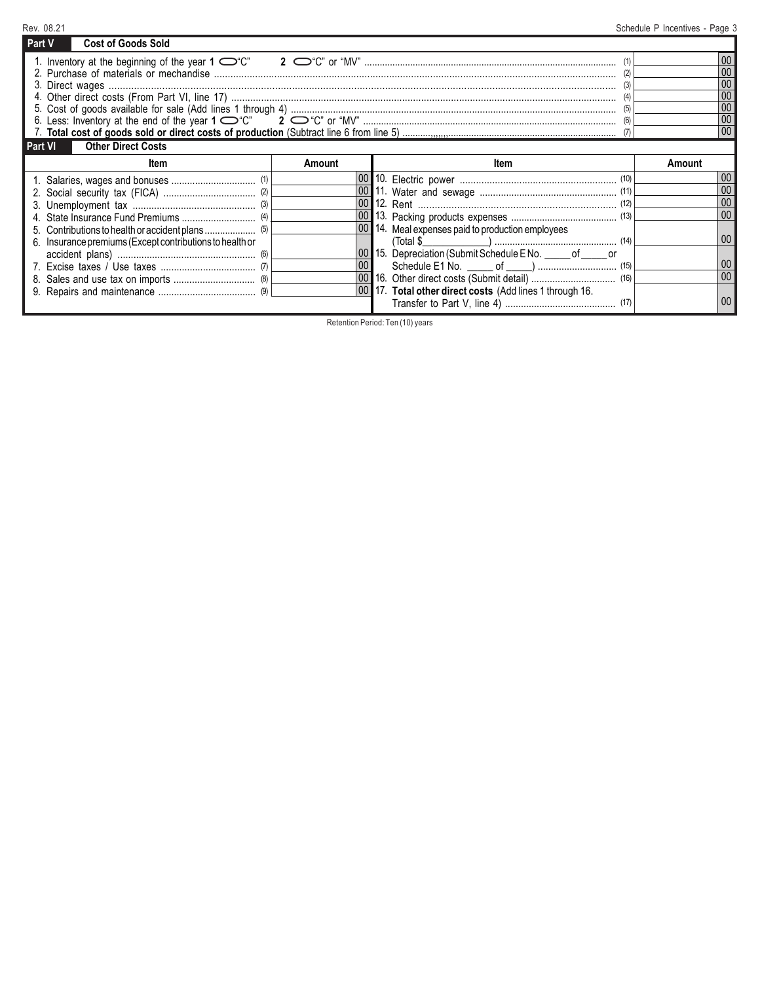| Rev. 08.21                                               |              |                                                              | Schedule P Incentives - Page 3 |
|----------------------------------------------------------|--------------|--------------------------------------------------------------|--------------------------------|
| <b>Cost of Goods Sold</b><br>Part V                      |              |                                                              |                                |
|                                                          |              |                                                              | 0 <sub>0</sub><br>00           |
|                                                          |              |                                                              | 00                             |
|                                                          |              |                                                              | 00                             |
|                                                          |              |                                                              | 00                             |
|                                                          |              |                                                              | 00                             |
|                                                          |              |                                                              |                                |
| <b>Other Direct Costs</b><br><b>Part VI</b>              |              |                                                              |                                |
| ltem                                                     | Amount       | Item                                                         | Amount                         |
|                                                          |              |                                                              | 00                             |
|                                                          |              |                                                              | 00                             |
|                                                          |              |                                                              |                                |
|                                                          | $ 00\rangle$ |                                                              | 00                             |
|                                                          |              | 00 14. Meal expenses paid to production employees            | 00                             |
| 6. Insurance premiums (Except contributions to health or |              | $(Total $$ (14)                                              |                                |
|                                                          | 00           | 00 15. Depreciation (Submit Schedule E No. _____ of _____ or | 00                             |
|                                                          |              |                                                              | 00                             |
|                                                          |              |                                                              |                                |
|                                                          |              | 00 17. Total other direct costs (Add lines 1 through 16.     |                                |